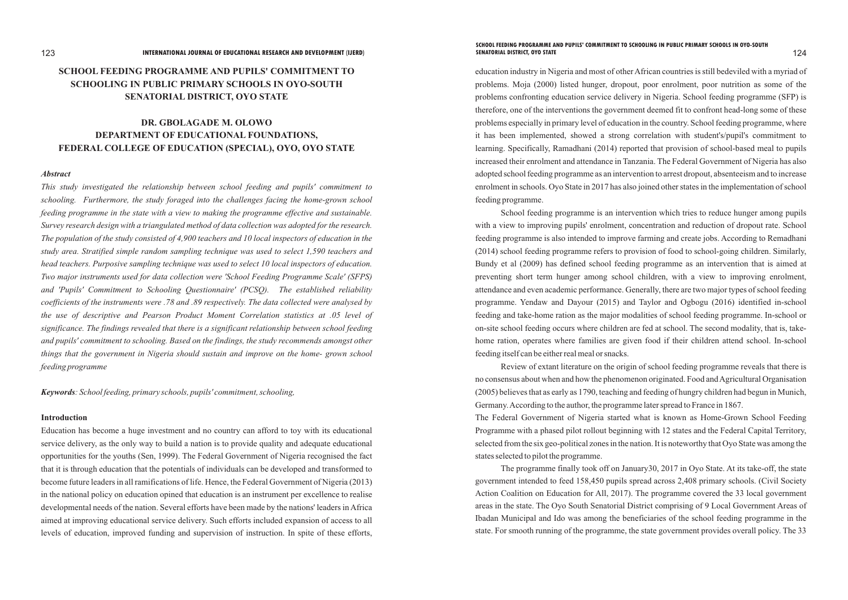# **SCHOOL FEEDING PROGRAMME AND PUPILS' COMMITMENT TO SCHOOLING IN PUBLIC PRIMARY SCHOOLS IN OYO-SOUTH SENATORIAL DISTRICT, OYO STATE**

# **DR. GBOLAGADE M. OLOWO DEPARTMENT OF EDUCATIONAL FOUNDATIONS, FEDERAL COLLEGE OF EDUCATION (SPECIAL), OYO, OYO STATE**

#### *Abstract*

*This study investigated the relationship between school feeding and pupils' commitment to schooling. Furthermore, the study foraged into the challenges facing the home-grown school feeding programme in the state with a view to making the programme effective and sustainable. Survey research design with a triangulated method of data collection was adopted for the research. The population of the study consisted of 4,900 teachers and 10 local inspectors of education in the study area. Stratified simple random sampling technique was used to select 1,590 teachers and head teachers. Purposive sampling technique was used to select 10 local inspectors of education. Two major instruments used for data collection were 'School Feeding Programme Scale' (SFPS) and 'Pupils' Commitment to Schooling Questionnaire' (PCSQ). The established reliability coefficients of the instruments were .78 and .89 respectively. The data collected were analysed by the use of descriptive and Pearson Product Moment Correlation statistics at .05 level of significance. The findings revealed that there is a significant relationship between school feeding and pupils' commitment to schooling. Based on the findings, the study recommends amongst other things that the government in Nigeria should sustain and improve on the home- grown school feeding programme*

*Keywords: School feeding, primary schools, pupils' commitment, schooling,* 

#### **Introduction**

Education has become a huge investment and no country can afford to toy with its educational service delivery, as the only way to build a nation is to provide quality and adequate educational opportunities for the youths (Sen, 1999). The Federal Government of Nigeria recognised the fact that it is through education that the potentials of individuals can be developed and transformed to become future leaders in all ramifications of life. Hence, the Federal Government of Nigeria (2013) in the national policy on education opined that education is an instrument per excellence to realise developmental needs of the nation. Several efforts have been made by the nations' leaders in Africa aimed at improving educational service delivery. Such efforts included expansion of access to all levels of education, improved funding and supervision of instruction. In spite of these efforts,

education industry in Nigeria and most of other African countries is still bedeviled with a myriad of problems. Moja (2000) listed hunger, dropout, poor enrolment, poor nutrition as some of the problems confronting education service delivery in Nigeria. School feeding programme (SFP) is therefore, one of the interventions the government deemed fit to confront head-long some of these problems especially in primary level of education in the country. School feeding programme, where it has been implemented, showed a strong correlation with student's/pupil's commitment to learning. Specifically, Ramadhani (2014) reported that provision of school-based meal to pupils increased their enrolment and attendance in Tanzania. The Federal Government of Nigeria has also adopted school feeding programme as an intervention to arrest dropout, absenteeism and to increase enrolment in schools. Oyo State in 2017 has also joined other states in the implementation of school feeding programme.

School feeding programme is an intervention which tries to reduce hunger among pupils with a view to improving pupils' enrolment, concentration and reduction of dropout rate. School feeding programme is also intended to improve farming and create jobs. According to Remadhani (2014) school feeding programme refers to provision of food to school-going children. Similarly, Bundy et al (2009) has defined school feeding programme as an intervention that is aimed at preventing short term hunger among school children, with a view to improving enrolment, attendance and even academic performance. Generally, there are two major types of school feeding programme. Yendaw and Dayour (2015) and Taylor and Ogbogu (2016) identified in-school feeding and take-home ration as the major modalities of school feeding programme. In-school or on-site school feeding occurs where children are fed at school. The second modality, that is, takehome ration, operates where families are given food if their children attend school. In-school feeding itself can be either real meal or snacks.

Review of extant literature on the origin of school feeding programme reveals that there is no consensus about when and how the phenomenon originated. Food and Agricultural Organisation (2005) believes that as early as 1790, teaching and feeding of hungry children had begun in Munich, Germany. According to the author, the programme later spread to France in 1867. The Federal Government of Nigeria started what is known as Home-Grown School Feeding Programme with a phased pilot rollout beginning with 12 states and the Federal Capital Territory, selected from the six geo-political zones in the nation. It is noteworthy that Oyo State was among the states selected to pilot the programme.

The programme finally took off on January30, 2017 in Oyo State. At its take-off, the state government intended to feed 158,450 pupils spread across 2,408 primary schools. (Civil Society Action Coalition on Education for All, 2017). The programme covered the 33 local government areas in the state. The Oyo South Senatorial District comprising of 9 Local Government Areas of Ibadan Municipal and Ido was among the beneficiaries of the school feeding programme in the state. For smooth running of the programme, the state government provides overall policy. The 33

# **SCHOOL FEEDING PROGRAMME AND PUPILS' COMMITMENT TO SCHOOLING IN PUBLIC PRIMARY SCHOOLS IN OYO-SOUTH**

#### 123 124 **INTERNATIONAL JOURNAL OF EDUCATIONAL RESEARCH AND DEVELOPMENT (IJERD) SENATORIAL DISTRICT, OYO STATE**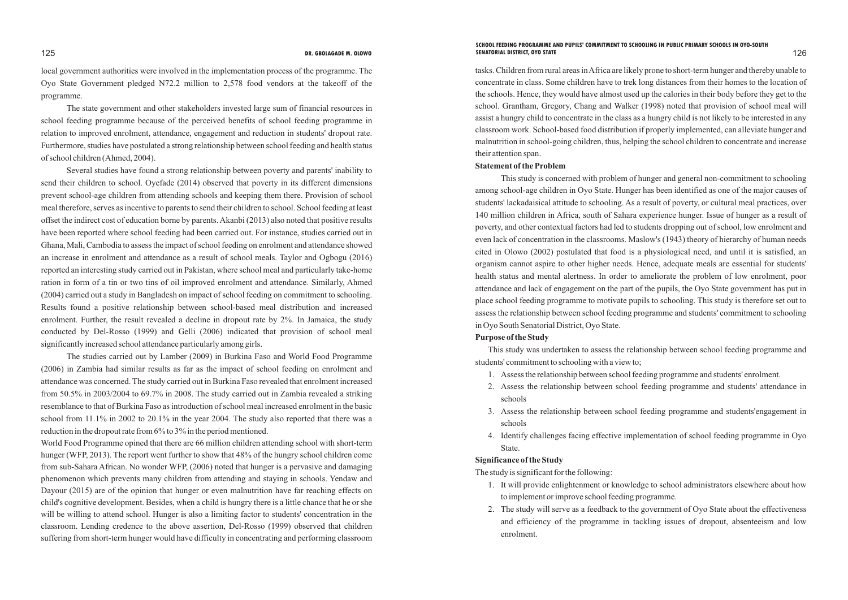local government authorities were involved in the implementation process of the programme. The Oyo State Government pledged N72.2 million to 2,578 food vendors at the takeoff of the programme.

The state government and other stakeholders invested large sum of financial resources in school feeding programme because of the perceived benefits of school feeding programme in relation to improved enrolment, attendance, engagement and reduction in students' dropout rate. Furthermore, studies have postulated a strong relationship between school feeding and health status of school children (Ahmed, 2004).

Several studies have found a strong relationship between poverty and parents' inability to send their children to school. Oyefade (2014) observed that poverty in its different dimensions prevent school-age children from attending schools and keeping them there. Provision of school meal therefore, serves as incentive to parents to send their children to school. School feeding at least offset the indirect cost of education borne by parents. Akanbi (2013) also noted that positive results have been reported where school feeding had been carried out. For instance, studies carried out in Ghana, Mali, Cambodia to assess the impact of school feeding on enrolment and attendance showed an increase in enrolment and attendance as a result of school meals. Taylor and Ogbogu (2016) reported an interesting study carried out in Pakistan, where school meal and particularly take-home ration in form of a tin or two tins of oil improved enrolment and attendance. Similarly, Ahmed (2004) carried out a study in Bangladesh on impact of school feeding on commitment to schooling. Results found a positive relationship between school-based meal distribution and increased enrolment. Further, the result revealed a decline in dropout rate by 2%. In Jamaica, the study conducted by Del-Rosso (1999) and Gelli (2006) indicated that provision of school meal significantly increased school attendance particularly among girls.

The studies carried out by Lamber (2009) in Burkina Faso and World Food Programme (2006) in Zambia had similar results as far as the impact of school feeding on enrolment and attendance was concerned. The study carried out in Burkina Faso revealed that enrolment increased from 50.5% in 2003/2004 to 69.7% in 2008. The study carried out in Zambia revealed a striking resemblance to that of Burkina Faso as introduction of school meal increased enrolment in the basic school from 11.1% in 2002 to 20.1% in the year 2004. The study also reported that there was a reduction in the dropout rate from 6% to 3% in the period mentioned.

World Food Programme opined that there are 66 million children attending school with short-term hunger (WFP, 2013). The report went further to show that 48% of the hungry school children come from sub-Sahara African. No wonder WFP, (2006) noted that hunger is a pervasive and damaging phenomenon which prevents many children from attending and staying in schools. Yendaw and Dayour (2015) are of the opinion that hunger or even malnutrition have far reaching effects on child's cognitive development. Besides, when a child is hungry there is a little chance that he or she will be willing to attend school. Hunger is also a limiting factor to students' concentration in the classroom. Lending credence to the above assertion, Del-Rosso (1999) observed that children suffering from short-term hunger would have difficulty in concentrating and performing classroom

#### DR. GBOLAGADE M. OLOWO SENATORIAL DISTRICT, OYO STATE SENATORIAL DISTRICT, OO STATE **SCHOOL FEEDING PROGRAMME AND PUPILS' COMMITMENT TO SCHOOLING IN PUBLIC PRIMARY SCHOOLS IN OYO-SOUTH DR. GBOLAGADE M. OLOWO SENATORIAL DISTRICT, OYO STATE**

tasks. Children from rural areas in Africa are likely prone to short-term hunger and thereby unable to concentrate in class. Some children have to trek long distances from their homes to the location of the schools. Hence, they would have almost used up the calories in their body before they get to the school. Grantham, Gregory, Chang and Walker (1998) noted that provision of school meal will assist a hungry child to concentrate in the class as a hungry child is not likely to be interested in any classroom work. School-based food distribution if properly implemented, can alleviate hunger and malnutrition in school-going children, thus, helping the school children to concentrate and increase their attention span.

#### **Statement of the Problem**

This study is concerned with problem of hunger and general non-commitment to schooling among school-age children in Oyo State. Hunger has been identified as one of the major causes of students' lackadaisical attitude to schooling. As a result of poverty, or cultural meal practices, over 140 million children in Africa, south of Sahara experience hunger. Issue of hunger as a result of poverty, and other contextual factors had led to students dropping out of school, low enrolment and even lack of concentration in the classrooms. Maslow's (1943) theory of hierarchy of human needs cited in Olowo (2002) postulated that food is a physiological need, and until it is satisfied, an organism cannot aspire to other higher needs. Hence, adequate meals are essential for students' health status and mental alertness. In order to ameliorate the problem of low enrolment, poor attendance and lack of engagement on the part of the pupils, the Oyo State government has put in place school feeding programme to motivate pupils to schooling. This study is therefore set out to assess the relationship between school feeding programme and students' commitment to schooling in Oyo South Senatorial District, Oyo State.

### **Purpose of the Study**

This study was undertaken to assess the relationship between school feeding programme and

students' commitment to schooling with a view to;

- 1. Assess the relationship between school feeding programme and students' enrolment.
- 2. Assess the relationship between school feeding programme and students' attendance in schools
- 3. Assess the relationship between school feeding programme and students'engagement in schools
- 4. Identify challenges facing effective implementation of school feeding programme in Oyo State.

## **Significance of the Study**

The study is significant for the following:

- 1. It will provide enlightenment or knowledge to school administrators elsewhere about how to implement or improve school feeding programme.
- 2. The study will serve as a feedback to the government of Oyo State about the effectiveness and efficiency of the programme in tackling issues of dropout, absenteeism and low enrolment.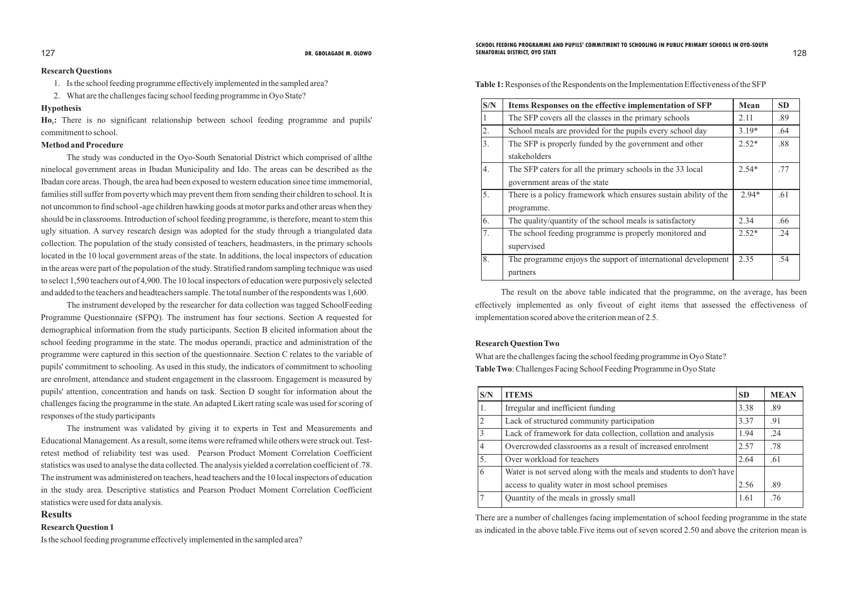#### **Research Questions**

- 1. Is the school feeding programme effectively implemented in the sampled area?
- 2. What are the challenges facing school feeding programme in Oyo State?

Ho<sub>1</sub>: There is no significant relationship between school feeding programme and pupils' commitment to school.

### **Hypothesis**

### **Method and Procedure**

The study was conducted in the Oyo-South Senatorial District which comprised of allthe ninelocal government areas in Ibadan Municipality and Ido. The areas can be described as the Ibadan core areas. Though, the area had been exposed to western education since time immemorial, families still suffer from poverty which may prevent them from sending their children to school. It is not uncommon to find school -age children hawking goods at motor parks and other areas when they should be in classrooms. Introduction of school feeding programme, is therefore, meant to stem this ugly situation. A survey research design was adopted for the study through a triangulated data collection. The population of the study consisted of teachers, headmasters, in the primary schools located in the 10 local government areas of the state. In additions, the local inspectors of education in the areas were part of the population of the study. Stratified random sampling technique was used to select 1,590 teachers out of 4,900. The 10 local inspectors of education were purposively selected and added to the teachers and headteachers sample. The total number of the respondents was 1,600.

The instrument developed by the researcher for data collection was tagged SchoolFeeding Programme Questionnaire (SFPQ). The instrument has four sections. Section A requested for demographical information from the study participants. Section B elicited information about the school feeding programme in the state. The modus operandi, practice and administration of the programme were captured in this section of the questionnaire. Section C relates to the variable of pupils' commitment to schooling. As used in this study, the indicators of commitment to schooling are enrolment, attendance and student engagement in the classroom. Engagement is measured by pupils' attention, concentration and hands on task. Section D sought for information about the challenges facing the programme in the state. An adapted Likert rating scale was used for scoring of responses of the study participants

#### DR. GBOLAGADE M. OLOWO SENATORIAL DISTRICT, OYO STATE SENATORIAL DISTRICT, OO STATE **SCHOOL FEEDING PROGRAMME AND PUPILS' COMMITMENT TO SCHOOLING IN PUBLIC PRIMARY SCHOOLS IN OYO-SOUTH DR. GBOLAGADE M. OLOWO SENATORIAL DISTRICT, OYO STATE**

The instrument was validated by giving it to experts in Test and Measurements and Educational Management. As a result, some items were reframed while others were struck out. Testretest method of reliability test was used. Pearson Product Moment Correlation Coefficient statistics was used to analyse the data collected. The analysis yielded a correlation coefficient of .78. The instrument was administered on teachers, head teachers and the 10 local inspectors of education in the study area. Descriptive statistics and Pearson Product Moment Correlation Coefficient statistics were used for data analysis.

### **Results**

## **Research Question 1**

Is the school feeding programme effectively implemented in the sampled area?

**Table 1:**Responses of the Respondents on the Implementation Effectiveness of the SFP

| S/N | Items Responses on the effective implementation of SFP           | Mean    | <b>SD</b> |
|-----|------------------------------------------------------------------|---------|-----------|
|     | The SFP covers all the classes in the primary schools            | 2.11    | .89       |
| 2.  | School meals are provided for the pupils every school day        | $3.19*$ | .64       |
| 3.  | The SFP is properly funded by the government and other           | $2.52*$ | .88       |
|     | stakeholders                                                     |         |           |
| 4.  | The SFP caters for all the primary schools in the 33 local       | $2.54*$ | .77       |
|     | government areas of the state                                    |         |           |
| 5.  | There is a policy framework which ensures sustain ability of the | $2.94*$ | .61       |
|     | programme.                                                       |         |           |
| 6.  | The quality/quantity of the school meals is satisfactory         | 2.34    | .66       |
| 7.  | The school feeding programme is properly monitored and           | $2.52*$ | .24       |
|     | supervised                                                       |         |           |
| 8.  | The programme enjoys the support of international development    | 2.35    | .54       |
|     | partners                                                         |         |           |

The result on the above table indicated that the programme, on the average, has been effectively implemented as only fiveout of eight items that assessed the effectiveness of implementation scored above the criterion mean of 2.5.

#### **Research Question Two**

What are the challenges facing the school feeding programme in Oyo State? **Table Two**: Challenges Facing School Feeding Programme in Oyo State

| S/N            | <b>ITEMS</b>                                                        | <b>SD</b> | <b>MEAN</b> |
|----------------|---------------------------------------------------------------------|-----------|-------------|
| 1.             | Irregular and inefficient funding                                   |           | .89         |
| $\overline{2}$ | Lack of structured community participation                          | 3.37      | .91         |
| 3              | Lack of framework for data collection, collation and analysis       | 1.94      | .24         |
| 4              | Overcrowded classrooms as a result of increased enrolment           | 2.57      | .78         |
| 5.             | Over workload for teachers                                          | 2.64      | .61         |
| 6              | Water is not served along with the meals and students to don't have |           |             |
|                | access to quality water in most school premises                     | 2.56      | .89         |
|                | Quantity of the meals in grossly small                              | 1.61      | .76         |

There are a number of challenges facing implementation of school feeding programme in the state as indicated in the above table.Five items out of seven scored 2.50 and above the criterion mean is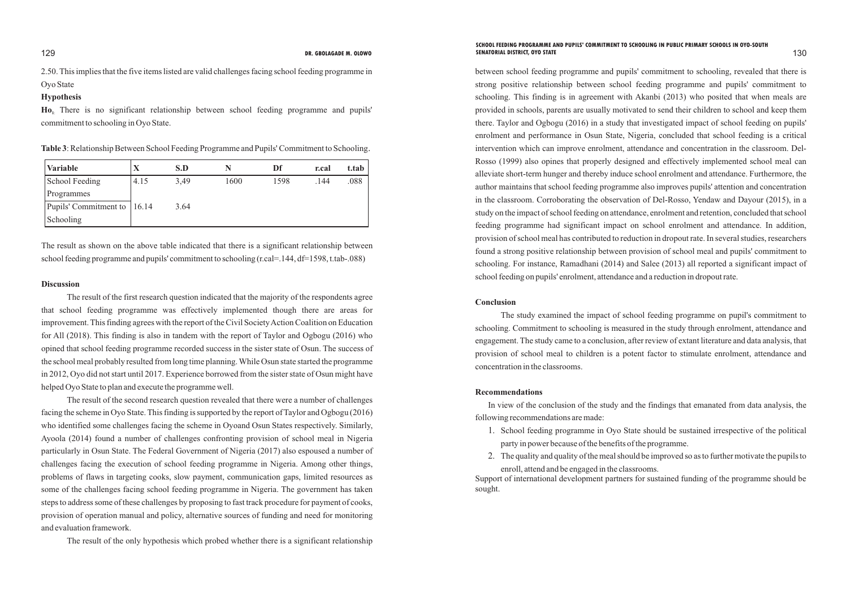2.50. This implies that the five items listed are valid challenges facing school feeding programme in Oyo State

#### **Hypothesis**

Ho<sub>1</sub>. There is no significant relationship between school feeding programme and pupils' commitment to schooling in Oyo State.

between school feeding programme and pupils' commitment to schooling, revealed that there is strong positive relationship between school feeding programme and pupils' commitment to schooling. This finding is in agreement with Akanbi (2013) who posited that when meals are provided in schools, parents are usually motivated to send their children to school and keep them there. Taylor and Ogbogu (2016) in a study that investigated impact of school feeding on pupils' enrolment and performance in Osun State, Nigeria, concluded that school feeding is a critical intervention which can improve enrolment, attendance and concentration in the classroom. Del-Rosso (1999) also opines that properly designed and effectively implemented school meal can alleviate short-term hunger and thereby induce school enrolment and attendance. Furthermore, the author maintains that school feeding programme also improves pupils' attention and concentration in the classroom. Corroborating the observation of Del-Rosso, Yendaw and Dayour (2015), in a study on the impact of school feeding on attendance, enrolment and retention, concluded that school feeding programme had significant impact on school enrolment and attendance. In addition, provision of school meal has contributed to reduction in dropout rate. In several studies, researchers found a strong positive relationship between provision of school meal and pupils' commitment to schooling. For instance, Ramadhani (2014) and Salee (2013) all reported a significant impact of school feeding on pupils' enrolment, attendance and a reduction in dropout rate.

**Table 3**: Relationship Between School Feeding Programme and Pupils' Commitment to Schooling.

| <b>Variable</b>               | $\overline{\textbf{X}}$ | S.D  |      | Df   | r.cal | t.tab |
|-------------------------------|-------------------------|------|------|------|-------|-------|
| School Feeding                | 4.15                    | 3,49 | 1600 | 1598 | .144  | .088  |
| Programmes                    |                         |      |      |      |       |       |
| Pupils' Commitment to   16.14 |                         | 3.64 |      |      |       |       |
| Schooling                     |                         |      |      |      |       |       |

#### **Conclusion**

The study examined the impact of school feeding programme on pupil's commitment to schooling. Commitment to schooling is measured in the study through enrolment, attendance and engagement. The study came to a conclusion, after review of extant literature and data analysis, that provision of school meal to children is a potent factor to stimulate enrolment, attendance and concentration in the classrooms.

#### **Recommendations**

In view of the conclusion of the study and the findings that emanated from data analysis, the following recommendations are made:

#### DR. GBOLAGADE M. OLOWO SENATORIAL DISTRICT, OYO STATE SENATORIAL DISTRICT, OO STATE 130 **SCHOOL FEEDING PROGRAMME AND PUPILS' COMMITMENT TO SCHOOLING IN PUBLIC PRIMARY SCHOOLS IN OYO-SOUTH DR. GBOLAGADE M. OLOWO SENATORIAL DISTRICT, OYO STATE**

- 1. School feeding programme in Oyo State should be sustained irrespective of the political party in power because of the benefits of the programme.
- 2. The quality and quality of the meal should be improved so as to further motivate the pupils to enroll, attend and be engaged in the classrooms.

Support of international development partners for sustained funding of the programme should be sought.

The result as shown on the above table indicated that there is a significant relationship between school feeding programme and pupils' commitment to schooling (r.cal=.144, df=1598, t.tab-.088)

#### **Discussion**

The result of the first research question indicated that the majority of the respondents agree that school feeding programme was effectively implemented though there are areas for improvement. This finding agrees with the report of the Civil Society Action Coalition on Education for All (2018). This finding is also in tandem with the report of Taylor and Ogbogu (2016) who opined that school feeding programme recorded success in the sister state of Osun. The success of the school meal probably resulted from long time planning. While Osun state started the programme in 2012, Oyo did not start until 2017. Experience borrowed from the sister state of Osun might have helped Oyo State to plan and execute the programme well.

The result of the second research question revealed that there were a number of challenges facing the scheme in Oyo State. This finding is supported by the report of Taylor and Ogbogu (2016) who identified some challenges facing the scheme in Oyoand Osun States respectively. Similarly, Ayoola (2014) found a number of challenges confronting provision of school meal in Nigeria particularly in Osun State. The Federal Government of Nigeria (2017) also espoused a number of challenges facing the execution of school feeding programme in Nigeria. Among other things, problems of flaws in targeting cooks, slow payment, communication gaps, limited resources as some of the challenges facing school feeding programme in Nigeria. The government has taken steps to address some of these challenges by proposing to fast track procedure for payment of cooks, provision of operation manual and policy, alternative sources of funding and need for monitoring and evaluation framework.

The result of the only hypothesis which probed whether there is a significant relationship